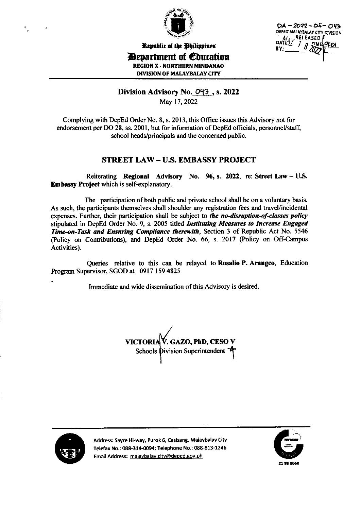

 $DA - 2022 - 05 - 043$ DEPED MALAYBALAY CITY DIVISION DAYAY RELEASED ·ͷͼͿϘ;<u>ϧͱ</u>

Republic of the Philippines

*Department of Education* **REGION X - NORTHERN MINDANAO** 

**DIVISION OF MALAYBALAY CITY** 

# Division Advisory No. 043, s. 2022

May 17, 2022

Complying with DepEd Order No. 8, s. 2013, this Office issues this Advisory not for endorsement per DO 28, ss. 2001, but for information of DepEd officials, personnel/staff, school heads/principals and the concerned public.

# **STREET LAW - U.S. EMBASSY PROJECT**

Reiterating Regional Advisory No. 96, s. 2022, re: Street Law - U.S. **Embassy Project which is self-explanatory.** 

The participation of both public and private school shall be on a voluntary basis. As such, the participants themselves shall shoulder any registration fees and travel/incidental expenses. Further, their participation shall be subject to the no-disruption-of-classes policy stipulated in DepEd Order No. 9, s. 2005 titled Instituting Measures to Increase Engaged Time-on-Task and Ensuring Compliance therewith, Section 3 of Republic Act No. 5546 (Policy on Contributions), and DepEd Order No. 66, s. 2017 (Policy on Off-Campus Activities).

Queries relative to this can be relayed to Rosalio P. Arangeo, Education Program Supervisor, SGOD at 0917 159 4825

Immediate and wide dissemination of this Advisory is desired.

VICTORIA V. GAZO, PhD, CESO V Schools Division Superintendent 4



Address: Sayre Hi-way, Purok 6, Casisang, Malaybalay City Telefax No.: 088-314-0094; Telephone No.: 088-813-1246 Email Address: malaybalay.city@deped.gov.ph

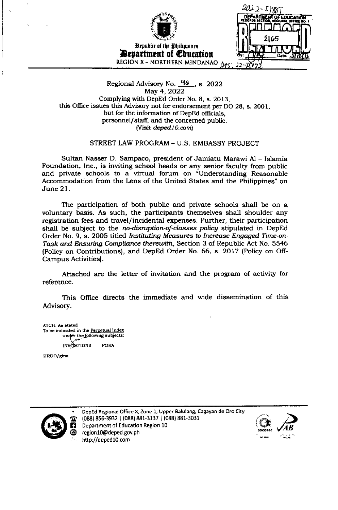

Republic of the Ohilippines **Bevartment of Coucation** REGION X - NORTHERN MINDANAO  $M_3$ 

2012-5198 **JENT OF EDUCATION** 

### Regional Advisory No.  $\frac{96}{15}$ , s. 2022 May 4, 2022 Complying with DepEd Order No. 8, s. 2013, this Office issues this Advisory not for endorsement per DO 28, s. 2001, but for the information of DepEd officials, personnel/staff, and the concerned public. (Visit deped 10.com)

STREET LAW PROGRAM - U.S. EMBASSY PROJECT

Sultan Nasser D. Sampaco, president of Jamiatu Marawi Al - Islamia Foundation, Inc., is inviting school heads or any senior faculty from public and private schools to a virtual forum on "Understanding Reasonable Accommodation from the Lens of the United States and the Philippines" on June 21.

The participation of both public and private schools shall be on a voluntary basis. As such, the participants themselves shall shoulder any registration fees and travel/incidental expenses. Further, their participation shall be subject to the no-disruption-of-classes policy stipulated in DepEd Order No. 9, s. 2005 titled Instituting Measures to Increase Engaged Time-on-Task and Ensuring Compliance therewith, Section 3 of Republic Act No. 5546 (Policy on Contributions), and DepEd Order No. 66, s. 2017 (Policy on Off-Campus Activities).

Attached are the letter of invitation and the program of activity for reference.

This Office directs the immediate and wide dissemination of this Advisory.

ATCH: As stated To be indicated in the Perpetual Index under the following subjects: **INVIDATIONS FORA** 

HRDD/gina



DepEd Regional Office X, Zone 1, Upper Balulang, Cagayan de Oro City (088) 856-3932 | (088) 881-3137 | (088) 881-3031 Department of Education Region 10 region10@deped.gov.ph http://deped10.com

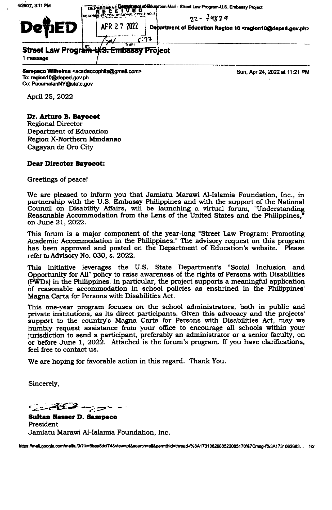4/26/22, 3:11 PM officiuoation Mail - Street Law Program-U.S. Embassy Project **DEPARIMENT**  $22 - \frac{14829}{ }$ AFR 27 2022 Debartment of Education Region 10 <region10@deped.gov.ph> :27 **Street Law Program** <del>.S. Embassy Project</del> 1 message

Sampaco Wilhelma <acadaccophils@gmail.com> To: region10@deped.gov.ph Cc: PacamalanNY@state.gov

Sun, Apr 24, 2022 at 11:21 PM

April 25, 2022

## Dr. Arturo B. Bayocot

**Regional Director** Department of Education Region X-Northern Mindanao Cagayan de Oro City

### **Dear Director Bayocot:**

Greetings of peace!

We are pleased to inform you that Jamiatu Marawi Al-Islamia Foundation, Inc., in partnership with the U.S. Embassy Philippines and with the support of the National Council on Disability Affairs, will be launching a virtual forum, "Understanding Reasonable Accommodation from the Lens of the United States and the Philippines, on June 21, 2022.

This forum is a major component of the year-long "Street Law Program: Promoting Academic Accommodation in the Philippines." The advisory request on this program has been approved and posted on the Department of Education's website. Please refer to Advisory No. 030, s. 2022.

This initiative leverages the U.S. State Department's "Social Inclusion and Opportunity for All" policy to raise awareness of the rights of Persons with Disabilities (PWDs) in the Philippines. In particular, the project supports a meaningful application of reasonable accommodation in school policies as enshrined in the Philippines' Magna Carta for Persons with Disabilities Act.

This one-year program focuses on the school administrators, both in public and private institutions, as its direct participants. Given this advocacy and the projects' support to the country's Magna Carta for Persons with Disabilities Act, may we humbly request assistance from your office to encourage all schools within your jurisdiction to send a participant, preferably an administrator or a senior faculty, on or before June 1, 2022. Attached is the forum's program. If you have clarifications, feel free to contact us.

We are hoping for favorable action in this regard. Thank You.

Sincerely,

<u>alban y</u>

**Sultan Nasser D. Sampaco** President Jamiatu Marawi Al-Islamia Foundation, Inc.

https://mail.google.com/mail/u/0/?ik=6baa5dcf74&view=pt&search=atl&permthid=thread-f%3A1731062683522005170%7Cmsq-f%3A1731062683... 1/2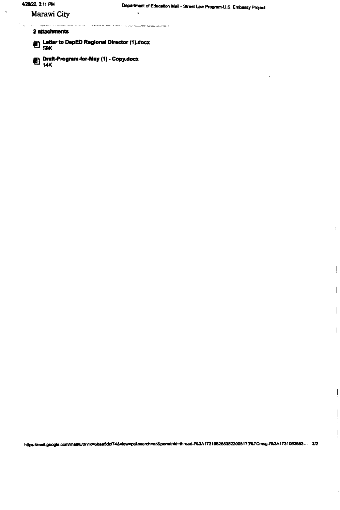$\ddot{\phantom{1}}$ 

 $\frac{1}{3}$ 

 $\begin{array}{c} \begin{array}{c} \begin{array}{c} \end{array} \end{array} \end{array}$  $\hat{\vec{r}}$ 

 $\overline{\phantom{a}}$ 

 $\begin{array}{c} \hline \end{array}$ 

 $\overline{1}$ 

 $\overline{\phantom{a}}$ 

 $\begin{array}{c} \hline \end{array}$ 

 $\overline{\phantom{a}}$ 

 $\overline{\phantom{a}}$ 

 $\begin{array}{c} \begin{array}{c} \begin{array}{c} \end{array} \end{array} \end{array}$ 

#### Marawi City

in<br>1976 - Paul St<mark>agorsc</mark>hilder .<br>המודע המדינות המוצר של המודע המודע המודע המודע המודע המודע המודע המודע המודע המודע המודע המודע המודע המודע המו

 $\ddot{\phantom{a}}$ 

## 2 attachments

Letter to DepED Regional Director (1).docx

Draft-Program-for-May (1) - Copy.docx<br>14K

https://mail.google.com/mail/u/0/?ik=6baa5dcf74&view=pt&search=all&permthid=thread-f%3A1731062683522005170%7Cmsg-f%3A1731062683... 2/2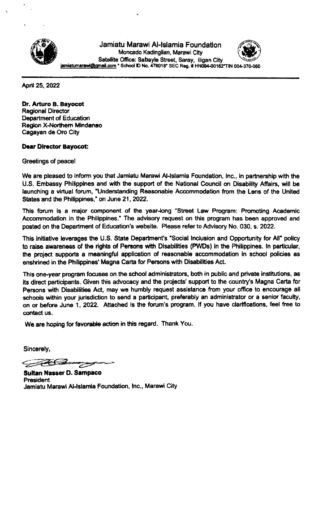

Jamiatu Marawi Al-lslamia Foundation Moncado Kadingilan, Marawi City Satellite Ofice: Sabayle Street, Saray, lligan City iamiatumarawi@gmail.com \* School ID No. 478018\* SEC Reg. # HN094-00162\*TIN 004



April 25, 2022

Dr. Arturo B. Bayocot Regional Director Department of Education Region X-Northern Mindanao Cagayan de Oro City

### Dear Director Bayocot:

Greetings of peacel

We are pleased to inform you that Jamiatu Marawi Al-Islamia Foundation, Inc., in partnership with the U.S. Embassy Philipplnes and with the support of the National Council on Disability Affairs, will be launching a virtual forum, 'Understanding Reasonable Accommodation from the Lens of the United States and the Philippines," on June 21, 2022.

This forum is a major component of the year-long "Street Law Program: Promoting Academic Accommodation in the Philippines." The advisory request on this program has been approved and posted on the Department of Education's website. Please refer to Advisory No. 030, s. 2022.

This initiative leverages the U.S. State Department's "Social Inclusion and Opportunity for All" policy to raise awareness of the rights of Persons with Disabilities (PWDs) in the Philippines. In particular, the project supports a meaningful application of reasonable accommodation in school policies as enshrined in the Philippines' Magna Carta for Persons with Disabilities Act.

This one-year program focuses on the school administrators, both in public and private institutions, as its direct participants. Given this advocacy and the projects' support to the country's Magna Carta for Persons with Disabilities Act, may we humbly request assistance from your office to encourage all schools within your jurisdiction to send a participant, preferably an administrator or a senior faculty, on or before June 1, 2022. Attached is the forum's program. If you have clarifications, feel free to contact us.

We are hoping for favorable action in this regard. Thank You.

Sincerely,

FEC2

Sultan Nasser D. Sampaco President Jamiatu Marawl Allslamia Foundation, lnc., Marawi City